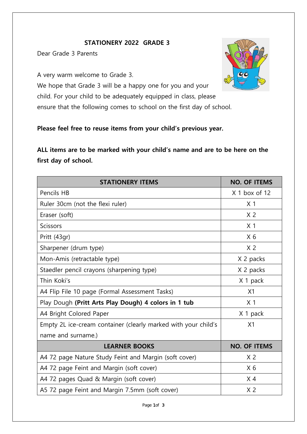## **STATIONERY 2022 GRADE 3**

Dear Grade 3 Parents

A very warm welcome to Grade 3.

We hope that Grade 3 will be a happy one for you and your child. For your child to be adequately equipped in class, please ensure that the following comes to school on the first day of school.

## **Please feel free to reuse items from your child's previous year.**

**ALL items are to be marked with your child's name and are to be here on the first day of school.** 

| <b>STATIONERY ITEMS</b>                                        | <b>NO. OF ITEMS</b> |
|----------------------------------------------------------------|---------------------|
| Pencils HB                                                     | $X1$ box of 12      |
| Ruler 30cm (not the flexi ruler)                               | X <sub>1</sub>      |
| Eraser (soft)                                                  | X <sub>2</sub>      |
| Scissors                                                       | X <sub>1</sub>      |
| Pritt (43gr)                                                   | X <sub>6</sub>      |
| Sharpener (drum type)                                          | X <sub>2</sub>      |
| Mon-Amis (retractable type)                                    | X 2 packs           |
| Staedler pencil crayons (sharpening type)                      | X 2 packs           |
| Thin Koki's                                                    | X 1 pack            |
| A4 Flip File 10 page (Formal Assessment Tasks)                 | X1                  |
| Play Dough (Pritt Arts Play Dough) 4 colors in 1 tub           | X <sub>1</sub>      |
| A4 Bright Colored Paper                                        | X 1 pack            |
| Empty 2L ice-cream container (clearly marked with your child's | X1                  |
| name and surname.)                                             |                     |
| <b>LEARNER BOOKS</b>                                           | <b>NO. OF ITEMS</b> |
| A4 72 page Nature Study Feint and Margin (soft cover)          | X <sub>2</sub>      |
| A4 72 page Feint and Margin (soft cover)                       | X <sub>6</sub>      |
| A4 72 pages Quad & Margin (soft cover)                         | X <sub>4</sub>      |
| A5 72 page Feint and Margin 7.5mm (soft cover)                 | X <sub>2</sub>      |

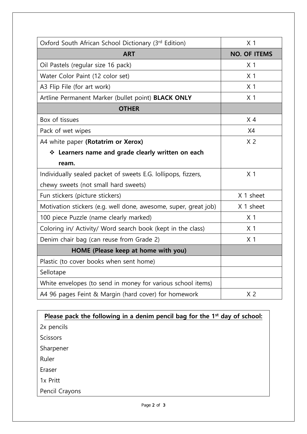| Oxford South African School Dictionary (3rd Edition)            | X <sub>1</sub>      |
|-----------------------------------------------------------------|---------------------|
| <b>ART</b>                                                      | <b>NO. OF ITEMS</b> |
| Oil Pastels (regular size 16 pack)                              | X <sub>1</sub>      |
| Water Color Paint (12 color set)                                | X <sub>1</sub>      |
| A3 Flip File (for art work)                                     | X <sub>1</sub>      |
| Artline Permanent Marker (bullet point) BLACK ONLY              | X <sub>1</sub>      |
| <b>OTHER</b>                                                    |                     |
| Box of tissues                                                  | X <sub>4</sub>      |
| Pack of wet wipes                                               | X4                  |
| A4 white paper (Rotatrim or Xerox)                              | X <sub>2</sub>      |
| ❖ Learners name and grade clearly written on each               |                     |
| ream.                                                           |                     |
| Individually sealed packet of sweets E.G. lollipops, fizzers,   | X <sub>1</sub>      |
| chewy sweets (not small hard sweets)                            |                     |
| Fun stickers (picture stickers)                                 | X 1 sheet           |
| Motivation stickers (e.g. well done, awesome, super, great job) | X 1 sheet           |
| 100 piece Puzzle (name clearly marked)                          | X <sub>1</sub>      |
| Coloring in/ Activity/ Word search book (kept in the class)     | X <sub>1</sub>      |
| Denim chair bag (can reuse from Grade 2)                        | X <sub>1</sub>      |
| HOME (Please keep at home with you)                             |                     |
| Plastic (to cover books when sent home)                         |                     |
| Sellotape                                                       |                     |
| White envelopes (to send in money for various school items)     |                     |
| A4 96 pages Feint & Margin (hard cover) for homework            | X <sub>2</sub>      |

| Please pack the following in a denim pencil bag for the 1 <sup>st</sup> day of school: |
|----------------------------------------------------------------------------------------|
| 2x pencils                                                                             |
| <b>Scissors</b>                                                                        |
| Sharpener                                                                              |
| Ruler                                                                                  |
| Eraser                                                                                 |
| 1x Pritt                                                                               |
| Pencil Crayons                                                                         |
|                                                                                        |